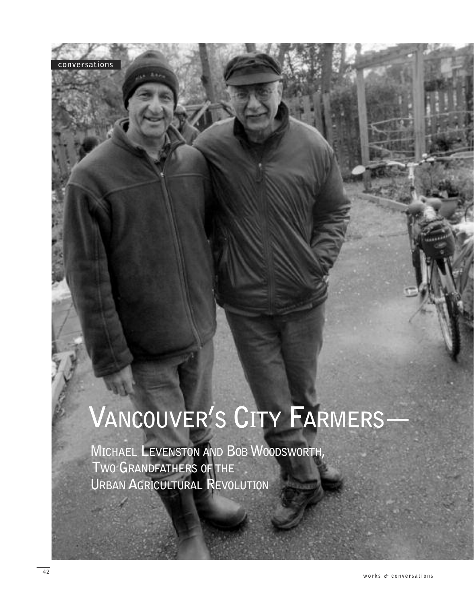## **VANCOUVER'S CITY FARMERS—**

**MICHAEL LEVENSTON AND BOB WOODSWORTH, TWO GRANDFATHERS OF THE URBAN AGRICULTURAL REVOLUTION**

**conversations**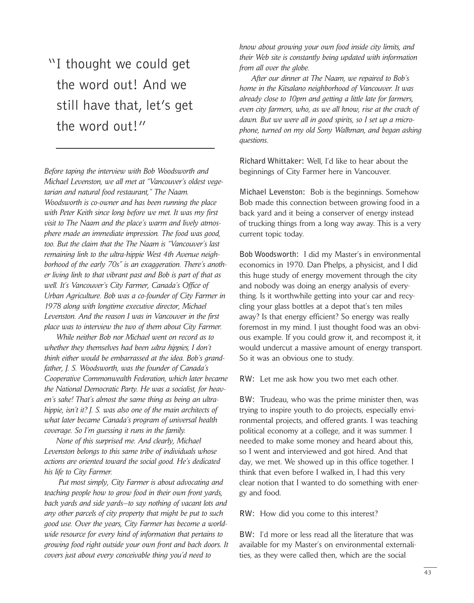"I thought we could get the word out! And we still have that, let's get the word out!"

*Before taping the interview with Bob Woodsworth and Michael Levenston, we all met at "Vancouver's oldest vegetarian and natural food restaurant," The Naam. Woodsworth is co-owner and has been running the place with Peter Keith since long before we met. It was my first visit to The Naam and the place's warm and lively atmosphere made an immediate impression. The food was good, too. But the claim that the The Naam is "Vancouver's last remaining link to the ultra-hippie West 4th Avenue neighborhood of the early 70s" is an exaggeration. There's another living link to that vibrant past and Bob is part of that as well. It's Vancouver's City Farmer, Canada's Office of Urban Agriculture. Bob was a co-founder of City Farmer in 1978 along with longtime executive director, Michael Levenston. And the reason I was in Vancouver in the first place was to interview the two of them about City Farmer.*

*While neither Bob nor Michael went on record as to whether they themselves had been ultra hippies, I don't think either would be embarrassed at the idea. Bob's grandfather, J. S. Woodsworth, was the founder of Canada's Cooperative Commonwealth Federation, which later became the National Democratic Party. He was a socialist, for heaven's sake! That's almost the same thing as being an ultrahippie, isn't it? J. S. was also one of the main architects of what later became Canada's program of universal health coverage. So I'm guessing it runs in the family.*

*None of this surprised me. And clearly, Michael Levenston belongs to this same tribe of individuals whose actions are oriented toward the social good. He's dedicated his life to City Farmer.*

*Put most simply, City Farmer is about advocating and teaching people how to grow food in their own front yards, back yards and side yards—to say nothing of vacant lots and any other parcels of city property that might be put to such good use. Over the years, City Farmer has become a worldwide resource for every kind of information that pertains to growing food right outside your own front and back doors. It covers just about every conceivable thing you'd need to*

*know about growing your own food inside city limits, and their Web site is constantly being updated with information from all over the globe.*

*After our dinner at The Naam, we repaired to Bob's home in the Kitsalano neighborhood of Vancouver. It was already close to 10pm and getting a little late for farmers, even city farmers, who, as we all know, rise at the crack of dawn. But we were all in good spirits, so I set up a microphone, turned on my old Sony Walkman, and began asking questions.*

**Richard Whittaker:** Well, I'd like to hear about the beginnings of City Farmer here in Vancouver.

**Michael Levenston:** Bob is the beginnings. Somehow Bob made this connection between growing food in a back yard and it being a conserver of energy instead of trucking things from a long way away. This is a very current topic today.

**Bob Woodsworth:** I did my Master's in environmental economics in 1970. Dan Phelps, a physicist, and I did this huge study of energy movement through the city and nobody was doing an energy analysis of everything. Is it worthwhile getting into your car and recycling your glass bottles at a depot that's ten miles away? Is that energy efficient? So energy was really foremost in my mind. I just thought food was an obvious example. If you could grow it, and recompost it, it would undercut a massive amount of energy transport. So it was an obvious one to study.

**RW:** Let me ask how you two met each other.

**BW:** Trudeau, who was the prime minister then, was trying to inspire youth to do projects, especially environmental projects, and offered grants. I was teaching political economy at a college, and it was summer. I needed to make some money and heard about this, so I went and interviewed and got hired. And that day, we met. We showed up in this office together. I think that even before I walked in, I had this very clear notion that I wanted to do something with energy and food.

**RW:** How did you come to this interest?

**BW:** I'd more or less read all the literature that was available for my Master's on environmental externalities, as they were called then, which are the social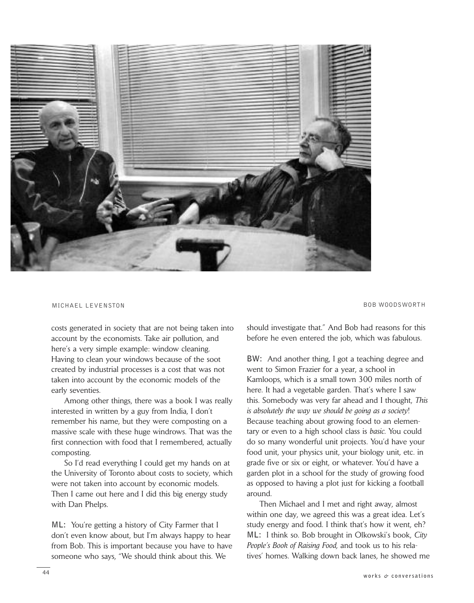

MICHAEL LEVENSTON BOB WOODSWORTH

costs generated in society that are not being taken into account by the economists. Take air pollution, and here's a very simple example: window cleaning. Having to clean your windows because of the soot created by industrial processes is a cost that was not taken into account by the economic models of the early seventies.

Among other things, there was a book I was really interested in written by a guy from India, I don't remember his name, but they were composting on a massive scale with these huge windrows. That was the first connection with food that I remembered, actually composting.

So I'd read everything I could get my hands on at the University of Toronto about costs to society, which were not taken into account by economic models. Then I came out here and I did this big energy study with Dan Phelps.

**ML:** You're getting a history of City Farmer that I don't even know about, but I'm always happy to hear from Bob. This is important because you have to have someone who says, "We should think about this. We

should investigate that." And Bob had reasons for this before he even entered the job, which was fabulous.

**BW:** And another thing, I got a teaching degree and went to Simon Frazier for a year, a school in Kamloops, which is a small town 300 miles north of here. It had a vegetable garden. That's where I saw this. Somebody was very far ahead and I thought, *This is absolutely the way we should be going as a society*! Because teaching about growing food to an elementary or even to a high school class is *basic*. You could do so many wonderful unit projects. You'd have your food unit, your physics unit, your biology unit, etc. in grade five or six or eight, or whatever. You'd have a garden plot in a school for the study of growing food as opposed to having a plot just for kicking a football around.

Then Michael and I met and right away, almost within one day, we agreed this was a great idea. Let's study energy and food. I think that's how it went, eh? **ML:** I think so. Bob brought in Olkowski's book, *City People's Book of Raising Food,* and took us to his relatives' homes. Walking down back lanes, he showed me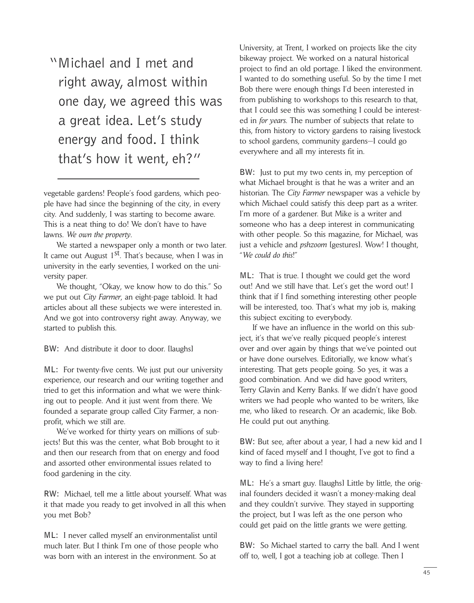"Michael and I met and right away, almost within one day, we agreed this was a great idea. Let's study energy and food. I think that's how it went, eh?"

vegetable gardens! People's food gardens, which people have had since the beginning of the city, in every city. And suddenly, I was starting to become aware. This is a neat thing to do! We don't have to have lawns. *We own the property*.

We started a newspaper only a month or two later. It came out August 1<sup>st</sup>. That's because, when I was in university in the early seventies, I worked on the university paper.

We thought, "Okay, we know how to do this." So we put out *City Farmer*, an eight-page tabloid. It had articles about all these subjects we were interested in. And we got into controversy right away. Anyway, we started to publish this.

**BW:** And distribute it door to door. [laughs]

**ML:** For twenty-five cents. We just put our university experience, our research and our writing together and tried to get this information and what we were thinking out to people. And it just went from there. We founded a separate group called City Farmer, a nonprofit, which we still are.

We've worked for thirty years on millions of subjects! But this was the center, what Bob brought to it and then our research from that on energy and food and assorted other environmental issues related to food gardening in the city.

**RW:** Michael, tell me a little about yourself. What was it that made you ready to get involved in all this when you met Bob?

**ML:** I never called myself an environmentalist until much later. But I think I'm one of those people who was born with an interest in the environment. So at

University, at Trent, I worked on projects like the city bikeway project. We worked on a natural historical project to find an old portage. I liked the environment. I wanted to do something useful. So by the time I met Bob there were enough things I'd been interested in from publishing to workshops to this research to that, that I could see this was something I could be interested in *for years*. The number of subjects that relate to this, from history to victory gardens to raising livestock to school gardens, community gardens—I could go everywhere and all my interests fit in.

**BW:** Just to put my two cents in, my perception of what Michael brought is that he was a writer and an historian. The *City Farmer* newspaper was a vehicle by which Michael could satisfy this deep part as a writer. I'm more of a gardener. But Mike is a writer and someone who has a deep interest in communicating with other people. So this magazine, for Michael, was just a vehicle and *pshzoom* [gestures]. Wow! I thought, "*We could do this*!"

**ML:** That is true. I thought we could get the word out! And we still have that. Let's get the word out! I think that if I find something interesting other people will be interested, too. That's what my job is, making this subject exciting to everybody.

If we have an influence in the world on this subject, it's that we've really picqued people's interest over and over again by things that we've pointed out or have done ourselves. Editorially, we know what's interesting. That gets people going. So yes, it was a good combination. And we did have good writers, Terry Glavin and Kerry Banks. If we didn't have good writers we had people who wanted to be writers, like me, who liked to research. Or an academic, like Bob. He could put out anything.

**BW:** But see, after about a year, I had a new kid and I kind of faced myself and I thought, I've got to find a way to find a living here!

**ML:** He's a smart guy. [laughs] Little by little, the original founders decided it wasn't a money-making deal and they couldn't survive. They stayed in supporting the project, but I was left as the one person who could get paid on the little grants we were getting.

**BW:** So Michael started to carry the ball. And I went off to, well, I got a teaching job at college. Then I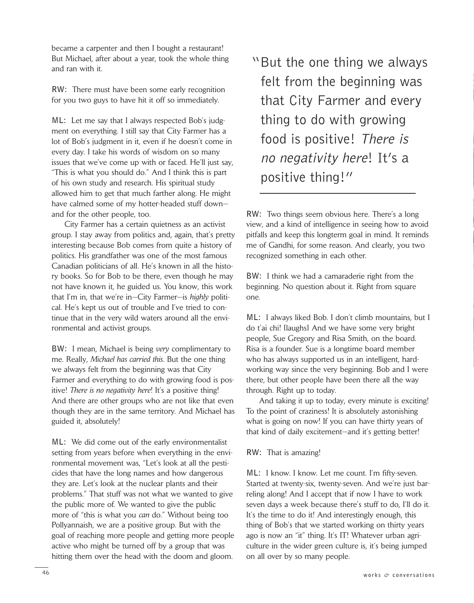became a carpenter and then I bought a restaurant! But Michael, after about a year, took the whole thing and ran with it.

**RW:** There must have been some early recognition for you two guys to have hit it off so immediately.

**ML:** Let me say that I always respected Bob's judgment on everything. I still say that City Farmer has a lot of Bob's judgment in it, even if he doesn't come in every day. I take his words of wisdom on so many issues that we've come up with or faced. He'll just say, "This is what you should do." And I think this is part of his own study and research. His spiritual study allowed him to get that much farther along. He might have calmed some of my hotter-headed stuff down and for the other people, too.

City Farmer has a certain quietness as an activist group. I stay away from politics and, again, that's pretty interesting because Bob comes from quite a history of politics. His grandfather was one of the most famous Canadian politicians of all. He's known in all the history books. So for Bob to be there, even though he may not have known it, he guided us. You know, this work that I'm in, that we're in—City Farmer—is *highly* political. He's kept us out of trouble and I've tried to continue that in the very wild waters around all the environmental and activist groups.

**BW:** I mean, Michael is being *very* complimentary to me. Really, *Michael has carried this*. But the one thing we always felt from the beginning was that City Farmer and everything to do with growing food is positive! *There is no negativity here*! It's a positive thing! And there are other groups who are not like that even though they are in the same territory. And Michael has guided it, absolutely!

**ML:** We did come out of the early environmentalist setting from years before when everything in the environmental movement was, "Let's look at all the pesticides that have the long names and how dangerous they are. Let's look at the nuclear plants and their problems." That stuff was not what we wanted to give the public more of. We wanted to give the public more of "this is what you *can* do." Without being too Pollyannaish, we are a positive group. But with the goal of reaching more people and getting more people active who might be turned off by a group that was hitting them over the head with the doom and gloom.

"But the one thing we always felt from the beginning was that City Farmer and every thing to do with growing food is positive! There is no negativity here! It's a positive thing!"

**RW:** Two things seem obvious here. There's a long view, and a kind of intelligence in seeing how to avoid pitfalls and keep this longterm goal in mind. It reminds me of Gandhi, for some reason. And clearly, you two recognized something in each other.

**BW:** I think we had a camaraderie right from the beginning. No question about it. Right from square one.

**ML:** I always liked Bob. I don't climb mountains, but I do t'ai chi! [laughs] And we have some very bright people, Sue Gregory and Risa Smith, on the board. Risa is a founder. Sue is a longtime board member who has always supported us in an intelligent, hardworking way since the very beginning. Bob and I were there, but other people have been there all the way through. Right up to today.

And taking it up to today, every minute is exciting! To the point of craziness! It is absolutely astonishing what is going on now! If you can have thirty years of that kind of daily excitement—and it's getting better!

## **RW:** That is amazing!

**ML:** I know. I know. Let me count. I'm fifty-seven. Started at twenty-six, twenty-seven. And we're just barreling along! And I accept that if now I have to work seven days a week because there's stuff to do, I'll do it. It's the time to do it! And interestingly enough, this thing of Bob's that we started working on thirty years ago is now an "it" thing. It's IT! Whatever urban agriculture in the wider green culture is, it's being jumped on all over by so many people.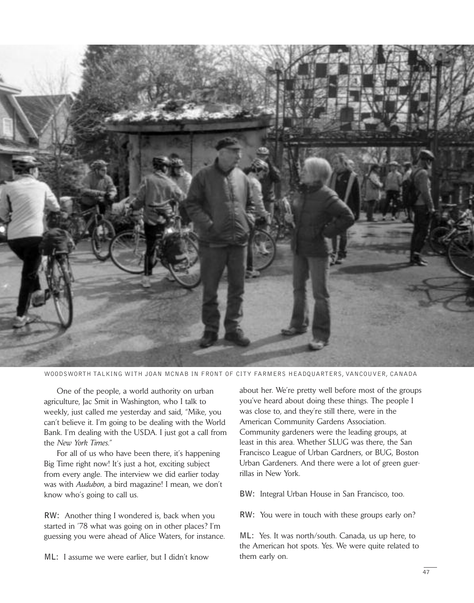

WOODSWORTH TALKING WITH JOAN MCNAB IN FRONT OF CITY FARMERS HEADQUARTERS, VANCOUVER, CANADA

One of the people, a world authority on urban agriculture, Jac Smit in Washington, who I talk to weekly, just called me yesterday and said, "Mike, you can't believe it. I'm going to be dealing with the World Bank. I'm dealing with the USDA. I just got a call from the *New York Times*."

For all of us who have been there, it's happening Big Time right now! It's just a hot, exciting subject from every angle. The interview we did earlier today was with *Audubon*, a bird magazine! I mean, we don't know who's going to call us.

**RW:** Another thing I wondered is, back when you started in '78 what was going on in other places? I'm guessing you were ahead of Alice Waters, for instance.

**ML:** I assume we were earlier, but I didn't know

about her. We're pretty well before most of the groups you've heard about doing these things. The people I was close to, and they're still there, were in the American Community Gardens Association. Community gardeners were the leading groups, at least in this area. Whether SLUG was there, the San Francisco League of Urban Gardners, or BUG, Boston Urban Gardeners. And there were a lot of green guerrillas in New York.

**BW:** Integral Urban House in San Francisco, too.

**RW:** You were in touch with these groups early on?

**ML:** Yes. It was north/south. Canada, us up here, to the American hot spots. Yes. We were quite related to them early on.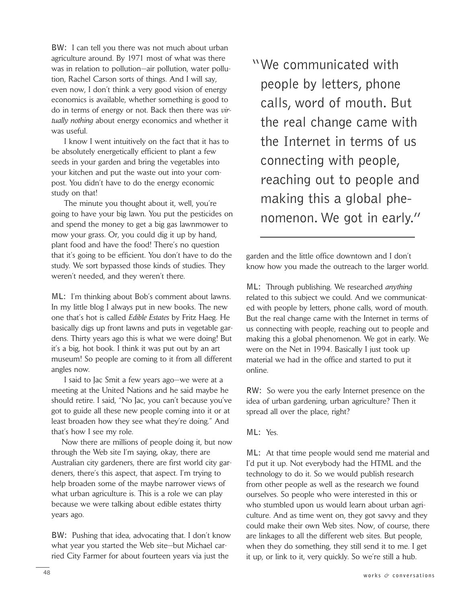**BW:** I can tell you there was not much about urban agriculture around. By 1971 most of what was there was in relation to pollution—air pollution, water pollution, Rachel Carson sorts of things. And I will say, even now, I don't think a very good vision of energy economics is available, whether something is good to do in terms of energy or not. Back then there was *virtually nothing* about energy economics and whether it was useful.

I know I went intuitively on the fact that it has to be absolutely energetically efficient to plant a few seeds in your garden and bring the vegetables into your kitchen and put the waste out into your compost. You didn't have to do the energy economic study on that!

The minute you thought about it, well, you're going to have your big lawn. You put the pesticides on and spend the money to get a big gas lawnmower to mow your grass. Or, you could dig it up by hand, plant food and have the food! There's no question that it's going to be efficient. You don't have to do the study. We sort bypassed those kinds of studies. They weren't needed, and they weren't there.

**ML:** I'm thinking about Bob's comment about lawns. In my little blog I always put in new books. The new one that's hot is called *Edible Estates* by Fritz Haeg. He basically digs up front lawns and puts in vegetable gardens. Thirty years ago this is what we were doing! But it's a big, hot book. I think it was put out by an art museum! So people are coming to it from all different angles now.

I said to Jac Smit a few years ago—we were at a meeting at the United Nations and he said maybe he should retire. I said, "No Jac, you can't because you've got to guide all these new people coming into it or at least broaden how they see what they're doing." And that's how I see my role.

Now there are millions of people doing it, but now through the Web site I'm saying, okay, there are Australian city gardeners, there are first world city gardeners, there's this aspect, that aspect. I'm trying to help broaden some of the maybe narrower views of what urban agriculture is. This is a role we can play because we were talking about edible estates thirty years ago.

**BW:** Pushing that idea, advocating that. I don't know what year you started the Web site—but Michael carried City Farmer for about fourteen years via just the

"We communicated with people by letters, phone calls, word of mouth. But the real change came with the Internet in terms of us connecting with people, reaching out to people and making this a global phenomenon. We got in early."

garden and the little office downtown and I don't know how you made the outreach to the larger world.

**ML:** Through publishing. We researched *anything* related to this subject we could. And we communicated with people by letters, phone calls, word of mouth. But the real change came with the Internet in terms of us connecting with people, reaching out to people and making this a global phenomenon. We got in early. We were on the Net in 1994. Basically I just took up material we had in the office and started to put it online.

**RW:** So were you the early Internet presence on the idea of urban gardening, urban agriculture? Then it spread all over the place, right?

**ML:** Yes.

**ML:** At that time people would send me material and I'd put it up. Not everybody had the HTML and the technology to do it. So we would publish research from other people as well as the research we found ourselves. So people who were interested in this or who stumbled upon us would learn about urban agriculture. And as time went on, they got savvy and they could make their own Web sites. Now, of course, there are linkages to all the different web sites. But people, when they do something, they still send it to me. I get it up, or link to it, very quickly. So we're still a hub.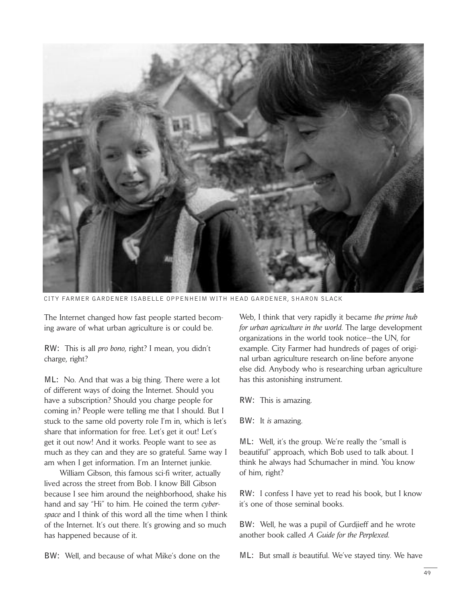

CITY FARMER GARDENER ISABELLE OPPENHEIM WITH HEAD GARDENER, SHARON SLACK

The Internet changed how fast people started becoming aware of what urban agriculture is or could be.

**RW:** This is all *pro bono*, right? I mean, you didn't charge, right?

**ML:** No. And that was a big thing. There were a lot of different ways of doing the Internet. Should you have a subscription? Should you charge people for coming in? People were telling me that I should. But I stuck to the same old poverty role I'm in, which is let's share that information for free. Let's get it out! Let's get it out now! And it works. People want to see as much as they can and they are so grateful. Same way I am when I get information. I'm an Internet junkie.

William Gibson, this famous sci-fi writer, actually lived across the street from Bob. I know Bill Gibson because I see him around the neighborhood, shake his hand and say "Hi" to him. He coined the term *cyberspace* and I think of this word all the time when I think of the Internet. It's out there. It's growing and so much has happened because of it.

**BW:** Well, and because of what Mike's done on the

Web, I think that very rapidly it became *the prime hub for urban agriculture in the world*. The large development organizations in the world took notice—the UN, for example. City Farmer had hundreds of pages of original urban agriculture research on-line before anyone else did. Anybody who is researching urban agriculture has this astonishing instrument.

**RW:** This is amazing.

**BW:** It *is* amazing.

**ML:** Well, it's the group. We're really the "small is beautiful" approach, which Bob used to talk about. I think he always had Schumacher in mind. You know of him, right?

**RW:** I confess I have yet to read his book, but I know it's one of those seminal books.

**BW:** Well, he was a pupil of Gurdjieff and he wrote another book called *A Guide for the Perplexed*.

**ML:** But small *is* beautiful. We've stayed tiny. We have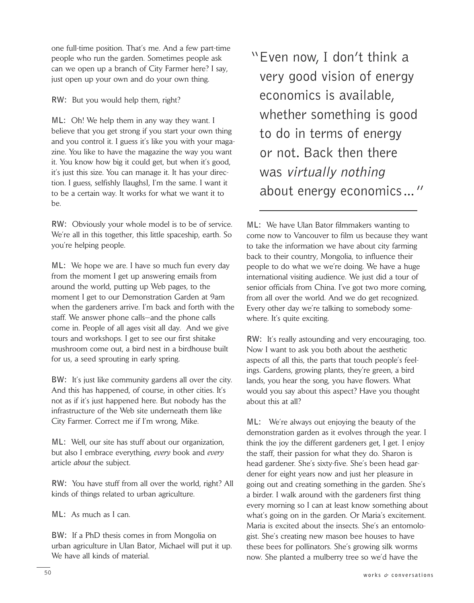one full-time position. That's me. And a few part-time people who run the garden. Sometimes people ask can we open up a branch of City Farmer here? I say, just open up your own and do your own thing.

**RW:** But you would help them, right?

**ML:** Oh! We help them in any way they want. I believe that you get strong if you start your own thing and you control it. I guess it's like you with your magazine. You like to have the magazine the way you want it. You know how big it could get, but when it's good, it's just this size. You can manage it. It has your direction. I guess, selfishly [laughs], I'm the same. I want it to be a certain way. It works for what we want it to be.

**RW:** Obviously your whole model is to be of service. We're all in this together, this little spaceship, earth. So you're helping people.

**ML:** We hope we are. I have so much fun every day from the moment I get up answering emails from around the world, putting up Web pages, to the moment I get to our Demonstration Garden at 9am when the gardeners arrive. I'm back and forth with the staff. We answer phone calls—and the phone calls come in. People of all ages visit all day. And we give tours and workshops. I get to see our first shitake mushroom come out, a bird nest in a birdhouse built for us, a seed sprouting in early spring.

**BW:** It's just like community gardens all over the city. And this has happened, of course, in other cities. It's not as if it's just happened here. But nobody has the infrastructure of the Web site underneath them like City Farmer. Correct me if I'm wrong, Mike.

**ML:** Well, our site has stuff about our organization, but also I embrace everything, *every* book and *every* article *about* the subject.

**RW:** You have stuff from all over the world, right? All kinds of things related to urban agriculture.

**ML:** As much as I can.

**BW:** If a PhD thesis comes in from Mongolia on urban agriculture in Ulan Bator, Michael will put it up. We have all kinds of material.

"Even now, I don't think a very good vision of energy economics is available, whether something is good to do in terms of energy or not. Back then there was virtually nothing about energy economics…"

**ML:** We have Ulan Bator filmmakers wanting to come now to Vancouver to film us because they want to take the information we have about city farming back to their country, Mongolia, to influence their people to do what we we're doing. We have a huge international visiting audience. We just did a tour of senior officials from China. I've got two more coming, from all over the world. And we do get recognized. Every other day we're talking to somebody somewhere. It's quite exciting.

**RW:** It's really astounding and very encouraging, too. Now I want to ask you both about the aesthetic aspects of all this, the parts that touch people's feelings. Gardens, growing plants, they're green, a bird lands, you hear the song, you have flowers. What would you say about this aspect? Have you thought about this at all?

**ML:** We're always out enjoying the beauty of the demonstration garden as it evolves through the year. I think the joy the different gardeners get, I get. I enjoy the staff, their passion for what they do. Sharon is head gardener. She's sixty-five. She's been head gardener for eight years now and just her pleasure in going out and creating something in the garden. She's a birder. I walk around with the gardeners first thing every morning so I can at least know something about what's going on in the garden. Or Maria's excitement. Maria is excited about the insects. She's an entomologist. She's creating new mason bee houses to have these bees for pollinators. She's growing silk worms now. She planted a mulberry tree so we'd have the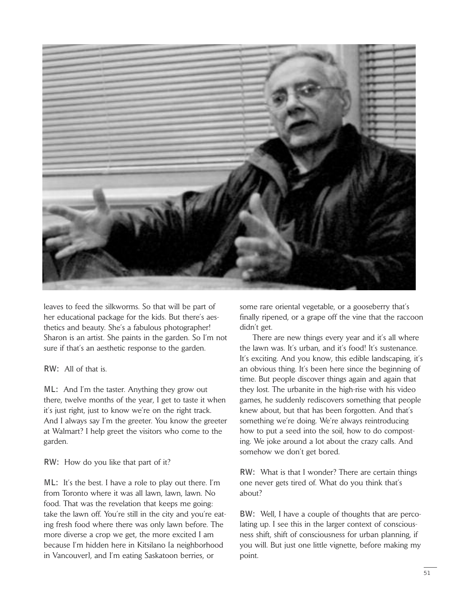

leaves to feed the silkworms. So that will be part of her educational package for the kids. But there's aesthetics and beauty. She's a fabulous photographer! Sharon is an artist. She paints in the garden. So I'm not sure if that's an aesthetic response to the garden.

**RW:** All of that is.

**ML:** And I'm the taster. Anything they grow out there, twelve months of the year, I get to taste it when it's just right, just to know we're on the right track. And I always say I'm the greeter. You know the greeter at Walmart? I help greet the visitors who come to the garden.

**RW:** How do you like that part of it?

**ML:** It's the best. I have a role to play out there. I'm from Toronto where it was all lawn, lawn, lawn. No food. That was the revelation that keeps me going: take the lawn off. You're still in the city and you're eating fresh food where there was only lawn before. The more diverse a crop we get, the more excited I am because I'm hidden here in Kitsilano [a neighborhood in Vancouver], and I'm eating Saskatoon berries, or

some rare oriental vegetable, or a gooseberry that's finally ripened, or a grape off the vine that the raccoon didn't get.

There are new things every year and it's all where the lawn was. It's urban, and it's food! It's sustenance. It's exciting. And you know, this edible landscaping, it's an obvious thing. It's been here since the beginning of time. But people discover things again and again that they lost. The urbanite in the high-rise with his video games, he suddenly rediscovers something that people knew about, but that has been forgotten. And that's something we're doing. We're always reintroducing how to put a seed into the soil, how to do composting. We joke around a lot about the crazy calls. And somehow we don't get bored.

**RW:** What is that I wonder? There are certain things one never gets tired of. What do you think that's about?

**BW:** Well, I have a couple of thoughts that are percolating up. I see this in the larger context of consciousness shift, shift of consciousness for urban planning, if you will. But just one little vignette, before making my point.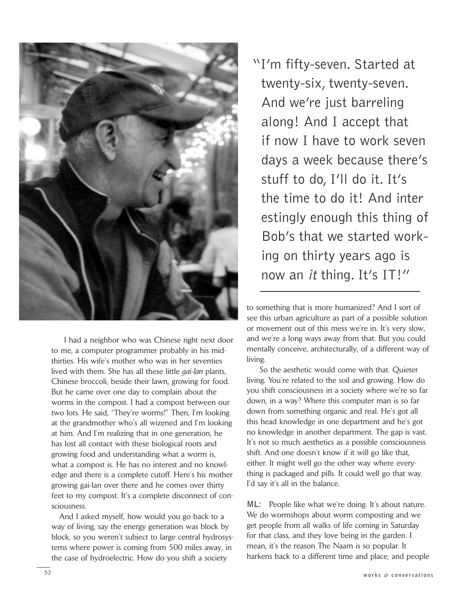

I had a neighbor who was Chinese right next door to me, a computer programmer probably in his midthirties. His wife's mother who was in her seventies lived with them. She has all these little *gai-lan* plants, Chinese broccoli, beside their lawn, growing for food. But he came over one day to complain about the worms in the compost. I had a compost between our two lots. He said, "They're worms!" Then, I'm looking at the grandmother who's all wizened and I'm looking at him. And I'm realizing that in one generation, he has lost all contact with these biological roots and growing food and understanding what a worm is, what a compost is. He has no interest and no knowledge and there is a complete cutoff. Here's his mother growing gai-lan over there and he comes over thirty feet to my compost. It's a complete disconnect of consciousness.

And I asked myself, how would you go back to a way of living, say the energy generation was block by block, so you weren't subject to large central hydrosystems where power is coming from 500 miles away, in the case of hydroelectric. How do you shift a society

"I'm fifty-seven. Started at twenty-six, twenty-seven. And we're just barreling along! And I accept that if now I have to work seven days a week because there's stuff to do, I'll do it. It's the time to do it! And inter estingly enough this thing of Bob's that we started working on thirty years ago is now an it thing. It's IT!"

to something that is more humanized? And I sort of see this urban agriculture as part of a possible solution or movement out of this mess we're in. It's very slow, and we're a long ways away from that. But you could mentally conceive, architecturally, of a different way of living.

So the aesthetic would come with that. Quieter living. You're related to the soil and growing. How do you shift consciousness in a society where we're so far down, in a way? Where this computer man is so far down from something organic and real. He's got all this head knowledge in one department and he's got no knowledge in another department. The gap is vast. It's not so much aesthetics as a possible consciousness shift. And one doesn't know if it will go like that, either. It might well go the other way where everything is packaged and pills. It could well go that way. I'd say it's all in the balance.

ML: People like what we're doing. It's about nature. We do wormshops about worm composting and we get people from all walks of life coming in Saturday for that class, and they love being in the garden. I mean, it's the reason The Naam is so popular. It harkens back to a different time and place, and people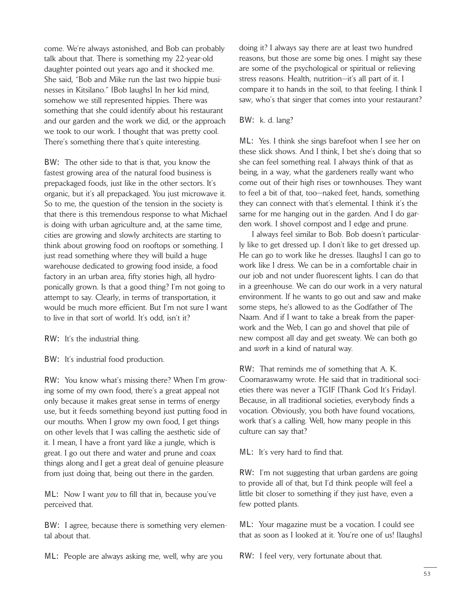come. We're always astonished, and Bob can probably talk about that. There is something my 22-year-old daughter pointed out years ago and it shocked me. She said, "Bob and Mike run the last two hippie businesses in Kitsilano." [Bob laughs] In her kid mind, somehow we still represented hippies. There was something that she could identify about his restaurant and our garden and the work we did, or the approach we took to our work. I thought that was pretty cool. There's something there that's quite interesting.

**BW:** The other side to that is that, you know the fastest growing area of the natural food business is prepackaged foods, just like in the other sectors. It's organic, but it's all prepackaged. You just microwave it. So to me, the question of the tension in the society is that there is this tremendous response to what Michael is doing with urban agriculture and, at the same time, cities are growing and slowly architects are starting to think about growing food on rooftops or something. I just read something where they will build a huge warehouse dedicated to growing food inside, a food factory in an urban area, fifty stories high, all hydroponically grown. Is that a good thing? I'm not going to attempt to say. Clearly, in terms of transportation, it would be much more efficient. But I'm not sure I want to live in that sort of world. It's odd, isn't it?

**RW:** It's the industrial thing.

**BW:** It's industrial food production.

**RW:** You know what's missing there? When I'm growing some of my own food, there's a great appeal not only because it makes great sense in terms of energy use, but it feeds something beyond just putting food in our mouths. When I grow my own food, I get things on other levels that I was calling the aesthetic side of it. I mean, I have a front yard like a jungle, which is great. I go out there and water and prune and coax things along and I get a great deal of genuine pleasure from just doing that, being out there in the garden.

**ML:** Now I want *you* to fill that in, because you've perceived that.

**BW:** I agree, because there is something very elemental about that.

**ML:** People are always asking me, well, why are you

doing it? I always say there are at least two hundred reasons, but those are some big ones. I might say these are some of the psychological or spiritual or relieving stress reasons. Health, nutrition—it's all part of it. I compare it to hands in the soil, to that feeling. I think I saw, who's that singer that comes into your restaurant?

## **BW:** k. d. lang?

**ML:** Yes. I think she sings barefoot when I see her on these slick shows. And I think, I bet she's doing that so she can feel something real. I always think of that as being, in a way, what the gardeners really want who come out of their high rises or townhouses. They want to feel a bit of that, too—naked feet, hands, something they can connect with that's elemental. I think it's the same for me hanging out in the garden. And I do garden work. I shovel compost and I edge and prune.

I always feel similar to Bob. Bob doesn't particularly like to get dressed up. I don't like to get dressed up. He can go to work like he dresses. [laughs] I can go to work like I dress. We can be in a comfortable chair in our job and not under fluorescent lights. I can do that in a greenhouse. We can do our work in a very natural environment. If he wants to go out and saw and make some steps, he's allowed to as the Godfather of The Naam. And if I want to take a break from the paperwork and the Web, I can go and shovel that pile of new compost all day and get sweaty. We can both go and *work* in a kind of natural way.

**RW:** That reminds me of something that A. K. Coomaraswamy wrote. He said that in traditional societies there was never a TGIF [Thank God It's Friday]. Because, in all traditional societies, everybody finds a vocation. Obviously, you both have found vocations, work that's a calling. Well, how many people in this culture can say that?

**ML:** It's very hard to find that.

**RW:** I'm not suggesting that urban gardens are going to provide all of that, but I'd think people will feel a little bit closer to something if they just have, even a few potted plants.

**ML:** Your magazine must be a vocation. I could see that as soon as I looked at it. You're one of us! [laughs]

**RW:** I feel very, very fortunate about that.